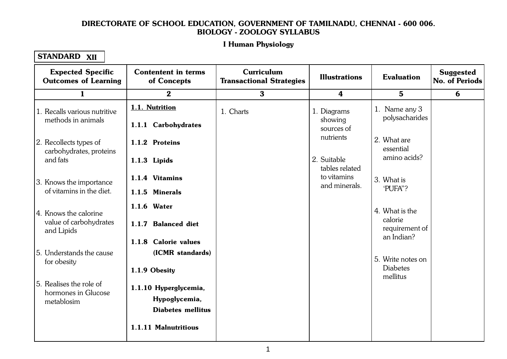#### Let Human Physiology 1.1. Cellular Level Organisation I Human Physiology

| <b>Expected Specific</b><br><b>Outcomes of Learning</b> | <b>Contentent in terms</b><br>of Concepts | Curriculum<br><b>Transactional Strategies</b> | <b>Illustrations</b>          | <b>Evaluation</b>            | <b>Suggested</b><br>No. of Periods |
|---------------------------------------------------------|-------------------------------------------|-----------------------------------------------|-------------------------------|------------------------------|------------------------------------|
| 1                                                       | $\bf{2}$                                  | $\bf{3}$                                      | 4                             | $5\phantom{1}$               | 6                                  |
| 1. Recalls various nutritive                            | 1.1. Nutrition                            | 1. Charts                                     | 1. Diagrams                   | 1. Name any 3                |                                    |
| methods in animals                                      | 1.1.1 Carbohydrates                       |                                               | showing<br>sources of         | polysacharides               |                                    |
| 2. Recollects types of<br>carbohydrates, proteins       | 1.1.2 Proteins                            |                                               | nutrients                     | 2. What are<br>essential     |                                    |
| and fats                                                | 1.1.3 Lipids                              |                                               | 2. Suitable<br>tables related | amino acids?                 |                                    |
| 3. Knows the importance                                 | 1.1.4 Vitamins                            |                                               | to vitamins<br>and minerals.  | 3. What is<br>'PUFA"?        |                                    |
| of vitamins in the diet.                                | 1.1.5 Minerals                            |                                               |                               |                              |                                    |
| 4. Knows the calorine                                   | 1.1.6 Water                               |                                               |                               | 4. What is the<br>calorie    |                                    |
| value of carbohydrates<br>and Lipids                    | 1.1.7 Balanced diet                       |                                               |                               | requirement of<br>an Indian? |                                    |
|                                                         | 1.1.8 Calorie values                      |                                               |                               |                              |                                    |
| 5. Understands the cause<br>for obesity                 | (ICMR standards)                          |                                               |                               | 5. Write notes on            |                                    |
|                                                         | 1.1.9 Obesity                             |                                               |                               | <b>Diabetes</b><br>mellitus  |                                    |
| 5. Realises the role of<br>hormones in Glucose          | 1.1.10 Hyperglycemia,                     |                                               |                               |                              |                                    |
| metablosim                                              | Hypoglycemia,<br><b>Diabetes mellitus</b> |                                               |                               |                              |                                    |
|                                                         | 1.1.11 Malnutritious                      |                                               |                               |                              |                                    |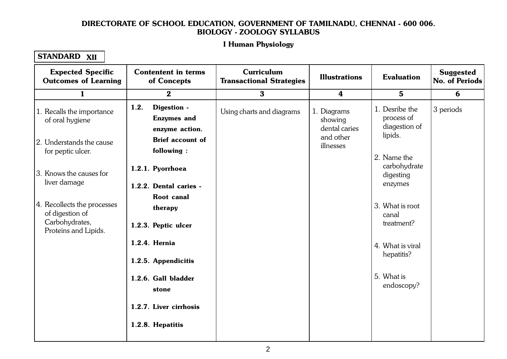#### Let Human Physiology 1.1. Cellular Level Organisation I Human Physiology

| <b>Expected Specific</b><br><b>Outcomes of Learning</b>                                  | <b>Contentent in terms</b><br>of Concepts                   | Curriculum<br><b>Transactional Strategies</b> | <b>Illustrations</b>                                 | <b>Evaluation</b>                                        | <b>Suggested</b><br>No. of Periods |
|------------------------------------------------------------------------------------------|-------------------------------------------------------------|-----------------------------------------------|------------------------------------------------------|----------------------------------------------------------|------------------------------------|
| 1                                                                                        | $\bf{2}$                                                    | $\bf{3}$                                      | 4                                                    | $5\phantom{.0}$                                          | 6                                  |
| 1. Recalls the importance<br>of oral hygiene                                             | 1.2.<br>Digestion -<br><b>Enzymes</b> and<br>enzyme action. | Using charts and diagrams                     | 1. Diagrams<br>showing<br>dental caries<br>and other | 1. Desribe the<br>process of<br>diagestion of<br>lipids. | 3 periods                          |
| 2. Understands the cause<br>for peptic ulcer.                                            | <b>Brief account of</b><br>following:                       |                                               | illnesses                                            | 2. Name the                                              |                                    |
| 3. Knows the causes for                                                                  | 1.2.1. Pyorrhoea                                            |                                               |                                                      | carbohydrate<br>digesting                                |                                    |
| liver damage                                                                             | 1.2.2. Dental caries -<br><b>Root</b> canal                 |                                               |                                                      | enzymes                                                  |                                    |
| 4. Recollects the processes<br>of digestion of<br>Carbohydrates,<br>Proteins and Lipids. | therapy<br>1.2.3. Peptic ulcer                              |                                               |                                                      | 3. What is root<br>canal<br>treatment?                   |                                    |
|                                                                                          | 1.2.4. Hernia<br>1.2.5. Appendicitis                        |                                               |                                                      | 4. What is viral<br>hepatitis?                           |                                    |
|                                                                                          | 1.2.6. Gall bladder<br>stone                                |                                               |                                                      | 5. What is<br>endoscopy?                                 |                                    |
|                                                                                          | 1.2.7. Liver cirrhosis                                      |                                               |                                                      |                                                          |                                    |
|                                                                                          | 1.2.8. Hepatitis                                            |                                               |                                                      |                                                          |                                    |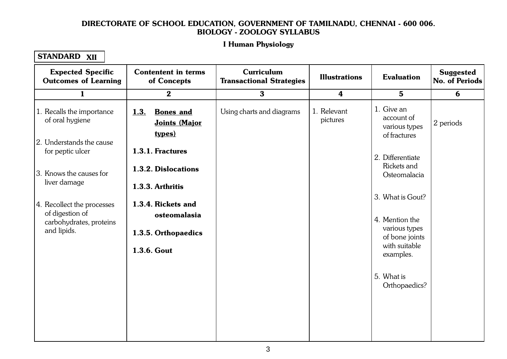#### Let Human Physiology 1.1. Cellular Level Organisation I Human Physiology

| <b>Expected Specific</b><br><b>Outcomes of Learning</b>   | <b>Contentent in terms</b><br>of Concepts                  | <b>Curriculum</b><br><b>Transactional Strategies</b> | <b>Illustrations</b>    | <b>Evaluation</b>                                         | <b>Suggested</b><br>No. of Periods |
|-----------------------------------------------------------|------------------------------------------------------------|------------------------------------------------------|-------------------------|-----------------------------------------------------------|------------------------------------|
| 1                                                         | $\bf{2}$                                                   | $\bf{3}$                                             | $\boldsymbol{4}$        | $5\phantom{.0}$                                           | 6                                  |
| 1. Recalls the importance<br>of oral hygiene              | 1.3.<br><b>Bones</b> and<br>Joints (Major<br><u>types)</u> | Using charts and diagrams                            | 1. Relevant<br>pictures | 1. Give an<br>account of<br>various types<br>of fractures | 2 periods                          |
| 2. Understands the cause<br>for peptic ulcer              | 1.3.1. Fractures                                           |                                                      |                         | 2. Differentiate                                          |                                    |
| 3. Knows the causes for<br>liver damage                   | 1.3.2. Dislocations                                        |                                                      |                         | Rickets and<br>Osteomalacia                               |                                    |
| 4. Recollect the processes                                | 1.3.3. Arthritis<br>1.3.4. Rickets and                     |                                                      |                         | 3. What is Gout?                                          |                                    |
| of digestion of<br>carbohydrates, proteins<br>and lipids. | osteomalasia                                               |                                                      |                         | 4. Mention the<br>various types                           |                                    |
|                                                           | 1.3.5. Orthopaedics<br>1.3.6. Gout                         |                                                      |                         | of bone joints<br>with suitable<br>examples.              |                                    |
|                                                           |                                                            |                                                      |                         | 5. What is<br>Orthopaedics?                               |                                    |
|                                                           |                                                            |                                                      |                         |                                                           |                                    |
|                                                           |                                                            |                                                      |                         |                                                           |                                    |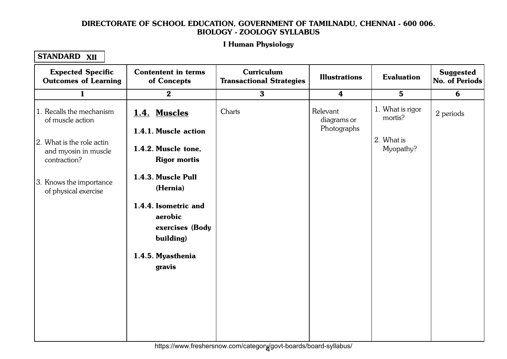#### Let Human Physiology 1.1. Cellular Level Organisation I Human Physiology

## STANDARD XII

| <b>Expected Specific</b><br><b>Outcomes of Learning</b>           | <b>Contentent in terms</b><br>of Concepts                       | Curriculum<br><b>Transactional Strategies</b> | <b>Illustrations</b>                   | <b>Evaluation</b>           | <b>Suggested</b><br><b>No. of Periods</b> |
|-------------------------------------------------------------------|-----------------------------------------------------------------|-----------------------------------------------|----------------------------------------|-----------------------------|-------------------------------------------|
| $\mathbf{1}$                                                      | $\mathbf{2}$                                                    | $\mathbf{3}$                                  | $\boldsymbol{4}$                       | $5\phantom{1}$              | 6                                         |
| 1. Recalls the mechanism<br>of muscle action                      | 1.4. Muscles<br>1.4.1. Muscle action                            | Charts                                        | Relevant<br>diagrams or<br>Photographs | 1. What is rigor<br>mortis? | 2 periods                                 |
| 2. What is the role actin<br>and myosin in muscle<br>contraction? | 1.4.2. Muscle tone,<br><b>Rigor mortis</b>                      |                                               |                                        | 2. What is<br>Myopathy?     |                                           |
| 3. Knows the importance<br>of physical exercise                   | 1.4.3. Muscle Pull<br>(Hernia)                                  |                                               |                                        |                             |                                           |
|                                                                   | 1.4.4. Isometric and<br>aerobic<br>exercises (Body<br>building) |                                               |                                        |                             |                                           |
|                                                                   | 1.4.5. Myasthenia<br>gravis                                     |                                               |                                        |                             |                                           |
|                                                                   |                                                                 |                                               |                                        |                             |                                           |

4 https://www.freshersnow.com/category/govt-boards/board-syllabus/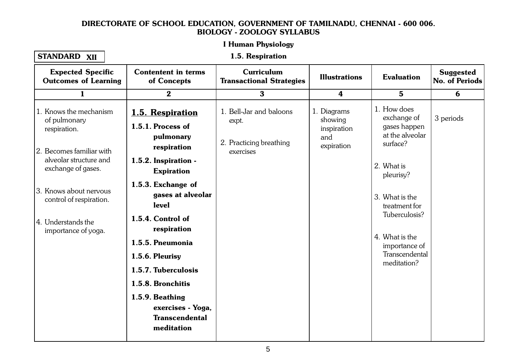#### Let Human Physiology 1.1. Cellular Level Organisation I Human Physiology

### STANDARD XII

### 1.5. Respiration

| <b>Expected Specific</b><br><b>Outcomes of Learning</b>                                                                                                                                                                              | <b>Contentent in terms</b><br>of Concepts                                                                                                                                                                                                                                                                                                                                | Curriculum<br><b>Transactional Strategies</b>                            | <b>Illustrations</b>                                       | <b>Evaluation</b>                                                                                                                                                                                                            | <b>Suggested</b><br><b>No. of Periods</b> |
|--------------------------------------------------------------------------------------------------------------------------------------------------------------------------------------------------------------------------------------|--------------------------------------------------------------------------------------------------------------------------------------------------------------------------------------------------------------------------------------------------------------------------------------------------------------------------------------------------------------------------|--------------------------------------------------------------------------|------------------------------------------------------------|------------------------------------------------------------------------------------------------------------------------------------------------------------------------------------------------------------------------------|-------------------------------------------|
| $\mathbf{1}$                                                                                                                                                                                                                         | $\bf{2}$                                                                                                                                                                                                                                                                                                                                                                 | $\mathbf{3}$                                                             | $\boldsymbol{4}$                                           | $5\phantom{1}$                                                                                                                                                                                                               | 6                                         |
| 1. Knows the mechanism<br>of pulmonary<br>respiration.<br>2. Becomes familiar with<br>alveolar structure and<br>exchange of gases.<br>3. Knows about nervous<br>control of respiration.<br>4. Understands the<br>importance of yoga. | 1.5. Respiration<br>1.5.1. Process of<br>pulmonary<br>respiration<br>1.5.2. Inspiration -<br><b>Expiration</b><br>1.5.3. Exchange of<br>gases at alveolar<br>level<br>1.5.4. Control of<br>respiration<br>1.5.5. Pneumonia<br>1.5.6. Pleurisy<br>1.5.7. Tuberculosis<br>1.5.8. Bronchitis<br>1.5.9. Beathing<br>exercises - Yoga,<br><b>Transcendental</b><br>meditation | 1. Bell-Jar and baloons<br>expt.<br>2. Practicing breathing<br>exercises | 1. Diagrams<br>showing<br>inspiration<br>and<br>expiration | 1. How does<br>exchange of<br>gases happen<br>at the alveolar<br>surface?<br>2. What is<br>pleurisy?<br>3. What is the<br>treatment for<br>Tuberculosis?<br>4. What is the<br>importance of<br>Transcendental<br>meditation? | 3 periods                                 |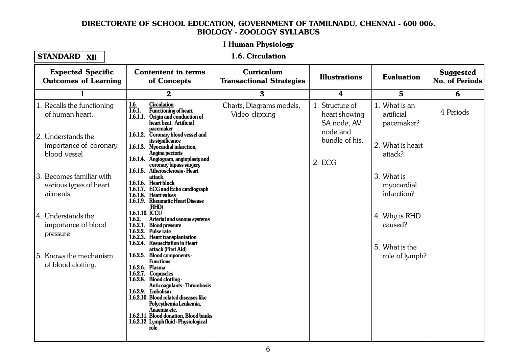### I Human Physiology 1.1. Cellular Level Organisation

## STANDARD XII

### 1.6. Circulation

| <b>Expected Specific</b><br><b>Outcomes of Learning</b>         | <b>Contentent in terms</b><br>of Concepts                                                                                                                                                                                                                                                                                                                      | Curriculum<br><b>Transactional Strategies</b> | <b>Illustrations</b>                            | <b>Evaluation</b>                          | <b>Suggested</b><br><b>No. of Periods</b> |
|-----------------------------------------------------------------|----------------------------------------------------------------------------------------------------------------------------------------------------------------------------------------------------------------------------------------------------------------------------------------------------------------------------------------------------------------|-----------------------------------------------|-------------------------------------------------|--------------------------------------------|-------------------------------------------|
| 1                                                               | $\bf{2}$                                                                                                                                                                                                                                                                                                                                                       | $\bf{3}$                                      | 4                                               | $5\phantom{.0}$                            | 6                                         |
| 1. Recalls the functioning<br>of human heart.                   | <b>Circulation</b><br>1.6.<br>1.6.1.<br>Functioning of heart<br>1.6.1.1. Origin and conduction of<br>heart beat. Artificial<br>pacemaker                                                                                                                                                                                                                       | Charts, Diagrams models,<br>Video clipping    | 1. Structure of<br>heart showing<br>SA node, AV | 1. What is an<br>artificial<br>pacemaker?  | 4 Periods                                 |
| 12. Understands the<br>importance of coronary<br>blood vessel   | 1.6.1.2. Coronary blood vessel and<br>its significance<br>1.6.1.3. Myocardial infarction,<br>Angina pectoris<br>1.6.1.4. Angiogram, angioplasty and<br>coronary bipass surgery                                                                                                                                                                                 |                                               | node and<br>bundle of his.<br>2. ECG            | 2. What is heart<br>attack?                |                                           |
| 3. Becomes familiar with<br>various types of heart<br>ailments. | 1.6.1.5. Atherosclerosis - Heart<br>attack.<br>1.6.1.6. Heart block<br>1.6.1.7. ECG and Echo cardiograph<br>1.6.1.8. Heart valves<br>1.6.1.9. Rheumatic Heart Disease<br>(RHD)                                                                                                                                                                                 |                                               |                                                 | 3. What is<br>myocardial<br>infarction?    |                                           |
| 4. Understands the<br>importance of blood<br>pressure.          | 1.6.1.10. ICCU<br>1.6.2.<br><b>Arterial and venous systems</b><br>1.6.2.1. Blood pressure<br>1.6.2.2. Pulse rate<br>1.6.2.3. Heart transplantation<br>1.6.2.4. Resuscitation in Heart<br>attack (First Aid)                                                                                                                                                    |                                               |                                                 | 4. Why is RHD<br>caused?<br>5. What is the |                                           |
| 5. Knows the mechanism<br>of blood clotting.                    | 1.6.2.5. Blood components -<br><b>Functions</b><br>1.6.2.6. Plasma<br>1.6.2.7. Corpuscles<br>1.6.2.8. Blood clotting -<br><b>Anticoagulants - Thrombosis</b><br>1.6.2.9. Embolism<br>1.6.2.10. Blood related diseases like<br>Polycythemia Leukemia,<br>Anaemia etc.<br>1.6.2.11. Blood donation, Blood banks<br>1.6.2.12. Lymph fluid - Physiological<br>role |                                               |                                                 | role of lymph?                             |                                           |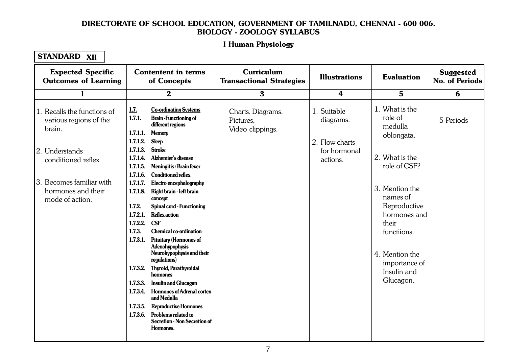#### Let Human Physiology 1.1. Cellular Level Organisation I Human Physiology

| <b>Expected Specific</b><br><b>Outcomes of Learning</b>                                                                                                                      | <b>Contentent in terms</b><br>of Concepts                                                                                                                                                                                                                                                                                                                                                                                                                                                                                                                                                                                                                                                                                                                                                                                                                                                                                                                                  | Curriculum<br><b>Transactional Strategies</b>      | <b>Illustrations</b>                                                   | <b>Evaluation</b>                                                                                                                                                                                                                         | <b>Suggested</b><br><b>No. of Periods</b> |
|------------------------------------------------------------------------------------------------------------------------------------------------------------------------------|----------------------------------------------------------------------------------------------------------------------------------------------------------------------------------------------------------------------------------------------------------------------------------------------------------------------------------------------------------------------------------------------------------------------------------------------------------------------------------------------------------------------------------------------------------------------------------------------------------------------------------------------------------------------------------------------------------------------------------------------------------------------------------------------------------------------------------------------------------------------------------------------------------------------------------------------------------------------------|----------------------------------------------------|------------------------------------------------------------------------|-------------------------------------------------------------------------------------------------------------------------------------------------------------------------------------------------------------------------------------------|-------------------------------------------|
| $\mathbf{1}$                                                                                                                                                                 | $\bf{2}$                                                                                                                                                                                                                                                                                                                                                                                                                                                                                                                                                                                                                                                                                                                                                                                                                                                                                                                                                                   | $\bf{3}$                                           | 4                                                                      | $\mathbf 5$                                                                                                                                                                                                                               | 6                                         |
| 1. Recalls the functions of<br>various regions of the<br>brain.<br>2. Understands<br>conditioned reflex<br>3. Becomes familiar with<br>hormones and their<br>mode of action. | <b>Co-ordinating Systems</b><br><u>1.7.</u><br>1.7.1.<br><b>Brain-Functioning of</b><br>different regions<br>1.7.1.1.<br><b>Memory</b><br>1.7.1.2.<br><b>Sleep</b><br>1.7.1.3.<br><b>Stroke</b><br>Alzhemier's disease<br>1.7.1.4.<br>1.7.1.5.<br>Meningitis / Brain fever<br>1.7.1.6.<br><b>Conditioned reflex</b><br>1.7.1.7.<br>Electro encephalography<br>1.7.1.8.<br>Right brain - left brain<br>concept<br>1.7.2.<br><b>Spinal cord - Functioning</b><br>1.7.2.1.<br><b>Reflex action</b><br><b>CSF</b><br>1.7.2.2.<br>1.7.3.<br><b>Chemical co-ordination</b><br><b>Pituitary (Hormones of</b><br>1.7.3.1.<br>Adenohypophysis<br>Neurohypophysis and their<br>regulations)<br>1.7.3.2.<br>Thyroid, Parathyroidal<br>hormones<br><b>Insulin and Glucagan</b><br>1.7.3.3.<br><b>Hormones of Adrenal cortex</b><br>1.7.3.4.<br>and Medulla<br><b>Reproductive Hormones</b><br>1.7.3.5.<br>1.7.3.6.<br>Problems related to<br>Secretion - Non Secretion of<br>Hormones. | Charts, Diagrams,<br>Pictures,<br>Video clippings. | 1. Suitable<br>diagrams.<br>2. Flow charts<br>for hormonal<br>actions. | 1. What is the<br>role of<br>medulla<br>oblongata.<br>2. What is the<br>role of CSF?<br>3. Mention the<br>names of<br>Reproductive<br>hormones and<br>their<br>functiions.<br>4. Mention the<br>importance of<br>Insulin and<br>Glucagon. | 5 Periods                                 |
|                                                                                                                                                                              |                                                                                                                                                                                                                                                                                                                                                                                                                                                                                                                                                                                                                                                                                                                                                                                                                                                                                                                                                                            |                                                    |                                                                        |                                                                                                                                                                                                                                           |                                           |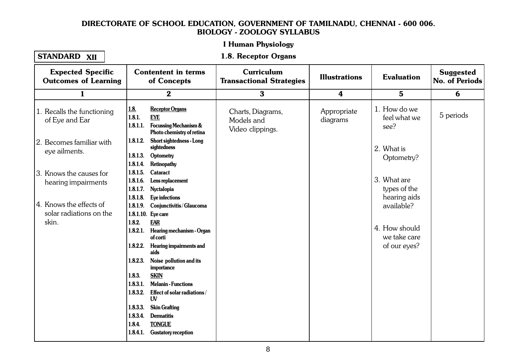### I Human Physiology 1.1. Cellular Level Organisation

## STANDARD XII

### 1.8. Receptor Organs

| <b>Expected Specific</b><br><b>Outcomes of Learning</b>     |                                              | <b>Contentent in terms</b><br>of Concepts                                                             | Curriculum<br><b>Transactional Strategies</b>       | <b>Illustrations</b>    | <b>Evaluation</b>                             | <b>Suggested</b><br>No. of Periods |
|-------------------------------------------------------------|----------------------------------------------|-------------------------------------------------------------------------------------------------------|-----------------------------------------------------|-------------------------|-----------------------------------------------|------------------------------------|
| 1                                                           |                                              | $\bf{2}$                                                                                              | $\bf{3}$                                            | 4                       | $5\phantom{1}$                                | 6                                  |
| 1. Recalls the functioning<br>of Eye and Ear                | <u>1.8.</u><br>1.8.1.<br>1.8.1.1.            | <b>Receptor Organs</b><br><b>EYE</b><br><b>Focussing Mechanism &amp;</b><br>Photo chemistry of retina | Charts, Diagrams,<br>Models and<br>Video clippings. | Appropriate<br>diagrams | 1. How do we<br>feel what we<br>see?          | 5 periods                          |
| 2. Becomes familiar with<br>eye ailments.                   | 1.8.1.2.<br>1.8.1.3.<br>1.8.1.4.             | <b>Short sightedness - Long</b><br>sightedness<br>Optometry<br>Retinopathy                            |                                                     |                         | 2. What is<br>Optometry?                      |                                    |
| 3. Knows the causes for<br>hearing impairments              | 1.8.1.5.<br>1.8.1.6.<br>1.8.1.7.<br>1.8.1.8. | Cataract<br>Lens replacement<br>Nyctalopia<br>Eye infections                                          |                                                     |                         | 3. What are<br>types of the<br>hearing aids   |                                    |
| 4. Knows the effects of<br>solar radiations on the<br>skin. | 1.8.1.9.<br>1.8.1.10. Eye care<br>1.8.2.     | Conjunctivitis/Glaucoma<br><b>EAR</b>                                                                 |                                                     |                         | available?                                    |                                    |
|                                                             | 1.8.2.1.<br>1.8.2.2.                         | Hearing mechanism - Organ<br>of corti<br><b>Hearing impairments and</b>                               |                                                     |                         | 4. How should<br>we take care<br>of our eyes? |                                    |
|                                                             | 1.8.2.3.                                     | aids<br>Noise pollution and its<br>importance                                                         |                                                     |                         |                                               |                                    |
|                                                             | 1.8.3.<br>1.8.3.1.                           | <b>SKIN</b><br><b>Melanin - Functions</b>                                                             |                                                     |                         |                                               |                                    |
|                                                             | 1.8.3.2.<br>1.8.3.3.<br>1.8.3.4.             | Effect of solar radiations/<br>UV<br><b>Skin Grafting</b><br><b>Dermatitis</b>                        |                                                     |                         |                                               |                                    |
|                                                             | 1.8.4.<br>1.8.4.1.                           | <b>TONGUE</b><br><b>Gustatory reception</b>                                                           |                                                     |                         |                                               |                                    |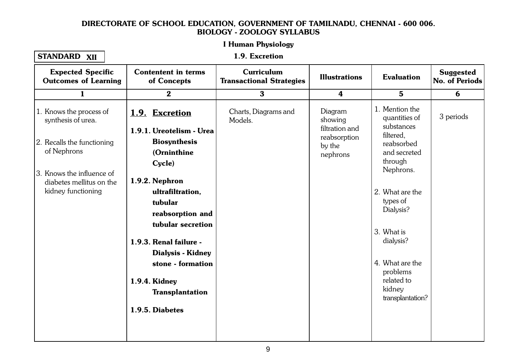#### Let Human Physiology I Human Physiology

| <b>STANDARD</b> | <b>XII</b> |
|-----------------|------------|
|-----------------|------------|

1.1. Cellular Level Organisation 1.9. Excretion

| <b>Expected Specific</b><br><b>Outcomes of Learning</b>                                                                                                                   | <b>Contentent in terms</b><br>of Concepts                                                                                                                                                                                                                                                                                     | Curriculum<br><b>Transactional Strategies</b> | <b>Illustrations</b>                                                       | <b>Evaluation</b>                                                                                                                                                                                                                                                  | <b>Suggested</b><br>No. of Periods |
|---------------------------------------------------------------------------------------------------------------------------------------------------------------------------|-------------------------------------------------------------------------------------------------------------------------------------------------------------------------------------------------------------------------------------------------------------------------------------------------------------------------------|-----------------------------------------------|----------------------------------------------------------------------------|--------------------------------------------------------------------------------------------------------------------------------------------------------------------------------------------------------------------------------------------------------------------|------------------------------------|
| $\mathbf{1}$                                                                                                                                                              | $\boldsymbol{2}$                                                                                                                                                                                                                                                                                                              | $\mathbf{3}$                                  | $\overline{\mathbf{4}}$                                                    | $5\phantom{1}$                                                                                                                                                                                                                                                     | 6                                  |
| 1. Knows the process of<br>synthesis of urea.<br>2. Recalls the functioning<br>of Nephrons<br>3. Knows the influence of<br>diabetes mellitus on the<br>kidney functioning | 1.9. Excretion<br>1.9.1. Ureotelism - Urea<br><b>Biosynthesis</b><br>(Orninthine<br>Cycle)<br>1.9.2. Nephron<br>ultrafiltration,<br>tubular<br>reabsorption and<br>tubular secretion<br>1.9.3. Renal failure -<br><b>Dialysis - Kidney</b><br>stone - formation<br>1.9.4. Kidney<br><b>Transplantation</b><br>1.9.5. Diabetes | Charts, Diagrams and<br>Models.               | Diagram<br>showing<br>filtration and<br>reabsorption<br>by the<br>nephrons | 1. Mention the<br>quantities of<br>substances<br>filtered.<br>reabsorbed<br>and secreted<br>through<br>Nephrons.<br>2. What are the<br>types of<br>Dialysis?<br>3. What is<br>dialysis?<br>4. What are the<br>problems<br>related to<br>kidney<br>transplantation? | 3 periods                          |
|                                                                                                                                                                           |                                                                                                                                                                                                                                                                                                                               |                                               |                                                                            |                                                                                                                                                                                                                                                                    |                                    |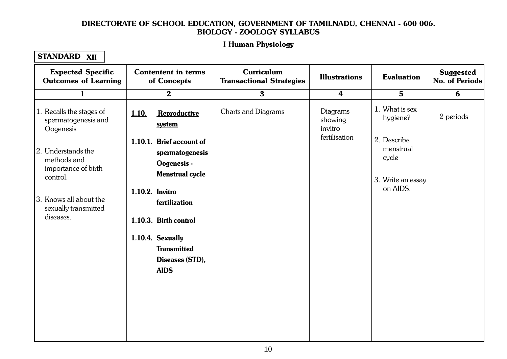#### Let Human Physiology 1.1. Cellular Level Organisation I Human Physiology

| <b>Expected Specific</b><br><b>Outcomes of Learning</b>              | <b>Contentent in terms</b><br>of Concepts                                            | <b>Curriculum</b><br><b>Transactional Strategies</b> | <b>Illustrations</b>                               | <b>Evaluation</b>             | <b>Suggested</b><br><b>No. of Periods</b> |
|----------------------------------------------------------------------|--------------------------------------------------------------------------------------|------------------------------------------------------|----------------------------------------------------|-------------------------------|-------------------------------------------|
| $\mathbf{1}$                                                         | $\mathbf{2}$                                                                         | $\mathbf{3}$                                         | $\boldsymbol{4}$                                   | $5\phantom{1}$                | 6                                         |
| 1. Recalls the stages of<br>spermatogenesis and<br>Oogenesis         | 1.10.<br>Reproductive<br>system                                                      | Charts and Diagrams                                  | Diagrams<br>showing<br>invitro                     | 1. What is sex<br>hygiene?    | 2 periods                                 |
| 2. Understands the<br>methods and<br>importance of birth<br>control. | 1.10.1. Brief account of<br>spermatogenesis<br>Oogenesis -<br><b>Menstrual cycle</b> |                                                      | fertilisation<br>2. Describe<br>menstrual<br>cycle | 3. Write an essay<br>on AIDS. |                                           |
| 3. Knows all about the<br>sexually transmitted<br>diseases.          | 1.10.2. Invitro<br>fertilization<br>1.10.3. Birth control                            |                                                      |                                                    |                               |                                           |
|                                                                      | 1.10.4. Sexually<br><b>Transmitted</b><br>Diseases (STD),<br><b>AIDS</b>             |                                                      |                                                    |                               |                                           |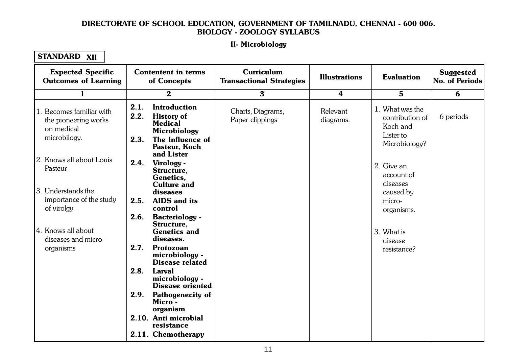#### II. Microbiology  $1.11111100$ II- Microbiology

| <b>Expected Specific</b><br><b>Outcomes of Learning</b>                     | <b>Contentent in terms</b><br>of Concepts                                                                                               | Curriculum<br><b>Transactional Strategies</b> | <b>Illustrations</b>    | <b>Evaluation</b>                                                            | <b>Suggested</b><br>No. of Periods |
|-----------------------------------------------------------------------------|-----------------------------------------------------------------------------------------------------------------------------------------|-----------------------------------------------|-------------------------|------------------------------------------------------------------------------|------------------------------------|
| $\mathbf{1}$                                                                | $\bf{2}$                                                                                                                                | $\bf{3}$                                      | $\overline{\mathbf{4}}$ | $\bf{5}$                                                                     | 6                                  |
| Becomes familiar with<br>the pioneering works<br>on medical<br>microbilogy. | 2.1.<br><b>Introduction</b><br>2.2.<br><b>History of</b><br><b>Medical</b><br>Microbiology<br>2.3.<br>The Influence of<br>Pasteur, Koch | Charts, Diagrams,<br>Paper clippings          | Relevant<br>diagrams.   | 1. What was the<br>contribution of<br>Koch and<br>Lister to<br>Microbiology? | 6 periods                          |
| 2. Knows all about Louis<br>Pasteur                                         | and Lister<br>2.4.<br>Virology -<br>Structure,<br>Genetics,                                                                             |                                               |                         | 2. Give an<br>account of<br>diseases                                         |                                    |
| 3. Understands the<br>importance of the study<br>of virolgy                 | <b>Culture and</b><br>diseases<br>2.5.<br><b>AIDS</b> and its<br>control                                                                |                                               |                         | caused by<br>micro-<br>organisms.                                            |                                    |
| 4. Knows all about<br>diseases and micro-                                   | 2.6.<br><b>Bacteriology -</b><br>Structure,<br><b>Genetics and</b><br>diseases.                                                         |                                               |                         | 3. What is<br>disease                                                        |                                    |
| organisms                                                                   | 2.7.<br>Protozoan<br>microbiology -<br><b>Disease related</b>                                                                           |                                               |                         | resistance?                                                                  |                                    |
|                                                                             | 2.8.<br><b>Larval</b><br>microbiology -<br><b>Disease oriented</b>                                                                      |                                               |                         |                                                                              |                                    |
|                                                                             | 2.9.<br><b>Pathogenecity of</b><br>Micro -<br>organism                                                                                  |                                               |                         |                                                                              |                                    |
|                                                                             | 2.10. Anti microbial<br>resistance<br>2.11. Chemotherapy                                                                                |                                               |                         |                                                                              |                                    |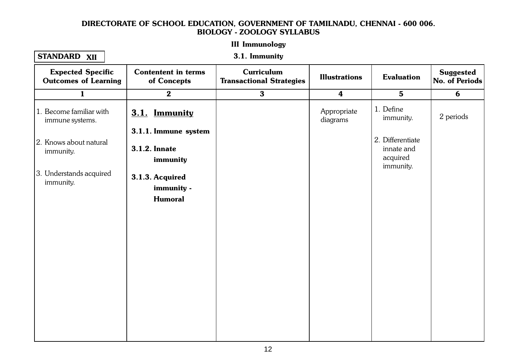#### III Immunologu 1.1. Cellular Level Organisation of the contract of the contract of the contract of the contract of the contract of the contract of the contract of the contract of the contract of the contract of the contract of the contra III Immunology

## STANDARD XII

3.1. Immunity

| <b>Expected Specific</b><br><b>Outcomes of Learning</b> | <b>Contentent in terms</b><br>of Concepts                | <b>Curriculum</b><br><b>Transactional Strategies</b> | <b>Illustrations</b>    | <b>Evaluation</b>                                       | <b>Suggested</b><br>No. of Periods |
|---------------------------------------------------------|----------------------------------------------------------|------------------------------------------------------|-------------------------|---------------------------------------------------------|------------------------------------|
| $\mathbf{1}$                                            | $\boldsymbol{2}$                                         | $\mathbf{3}$                                         | $\overline{\mathbf{4}}$ | $5\phantom{.}$                                          | 6                                  |
| 1. Become familiar with<br>immune systems.              | 3.1. Immunity                                            |                                                      | Appropriate<br>diagrams | 1. Define<br>immunity.                                  | 2 periods                          |
| 2. Knows about natural<br>immunity.                     | 3.1.1. Immune system<br><b>3.1.2. Innate</b><br>immunity |                                                      |                         | 2. Differentiate<br>innate and<br>acquired<br>immunity. |                                    |
| 3. Understands acquired<br>immunity.                    | 3.1.3. Acquired<br>immunity -<br><b>Humoral</b>          |                                                      |                         |                                                         |                                    |
|                                                         |                                                          |                                                      |                         |                                                         |                                    |
|                                                         |                                                          |                                                      |                         |                                                         |                                    |
|                                                         |                                                          |                                                      |                         |                                                         |                                    |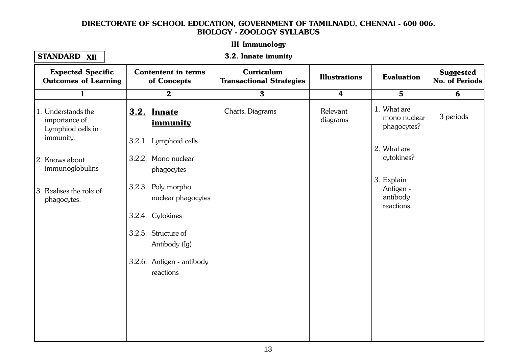# III Immunology

## STANDARD XII

#### 1.1. Cellular Level Organisation of the contract of the contract of the contract of the contract of the contract of the contract of the contract of the contract of the contract of the contract of the contract of the contra 3.2. Innate imunity

| <b>Expected Specific</b><br><b>Outcomes of Learning</b>               | <b>Contentent in terms</b><br>of Concepts                  | <b>Curriculum</b><br><b>Transactional Strategies</b> | <b>Illustrations</b> | <b>Evaluation</b>                                 | <b>Suggested</b><br>No. of Periods |
|-----------------------------------------------------------------------|------------------------------------------------------------|------------------------------------------------------|----------------------|---------------------------------------------------|------------------------------------|
| $\mathbf{1}$                                                          | $\mathbf{2}$                                               | $\mathbf{3}$                                         | $\boldsymbol{4}$     | $5\phantom{.}$                                    | 6                                  |
| 1. Understands the<br>importance of<br>Lymphiod cells in<br>immunity. | <b>3.2. Innate</b><br>immunity                             | Charts, Diagrams                                     | Relevant<br>diagrams | 1. What are<br>mono nuclear<br>phagocytes?        | 3 periods                          |
| 2. Knows about<br>immunoglobulins                                     | 3.2.1. Lymphoid cells<br>3.2.2. Mono nuclear<br>phagocytes |                                                      |                      | 2. What are<br>cytokines?                         |                                    |
| 3. Realises the role of<br>phagocytes.                                | 3.2.3. Poly morpho<br>nuclear phagocytes                   |                                                      |                      | 3. Explain<br>Antigen -<br>antibody<br>reactions. |                                    |
|                                                                       | 3.2.4. Cytokines                                           |                                                      |                      |                                                   |                                    |
|                                                                       | 3.2.5. Structure of<br>Antibody (Ig)                       |                                                      |                      |                                                   |                                    |
|                                                                       | 3.2.6. Antigen - antibody<br>reactions                     |                                                      |                      |                                                   |                                    |
|                                                                       |                                                            |                                                      |                      |                                                   |                                    |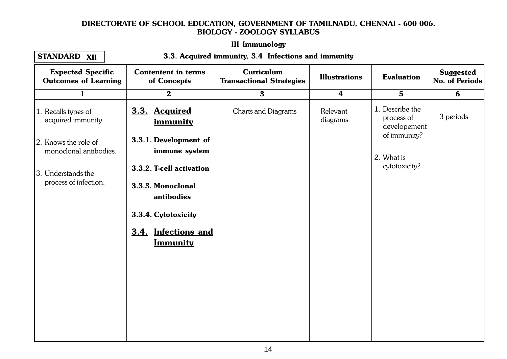# III Immunology

### STANDARD XII

#### 1.1. Cellular Level Organisation of the Contract Organisation of the Contract Organisation of the Contract Org<br>The Contract Organisation of the Contract Organisation of the Contract Organisation of the Contract Organisatio 3.3. Acquired immunity, 3.4 Infections and immunity

| <b>Expected Specific</b><br><b>Outcomes of Learning</b> | <b>Contentent in terms</b><br>of Concepts     | Curriculum<br><b>Transactional Strategies</b> | <b>Illustrations</b> | <b>Evaluation</b>                             | <b>Suggested</b><br>No. of Periods |
|---------------------------------------------------------|-----------------------------------------------|-----------------------------------------------|----------------------|-----------------------------------------------|------------------------------------|
| $\mathbf{1}$                                            | $\boldsymbol{2}$                              | $\mathbf{3}$                                  | $\boldsymbol{4}$     | $5\phantom{.}$                                | 6                                  |
| 1. Recalls types of<br>acquired immunity                | 3.3. Acquired<br>immunity                     | <b>Charts and Diagrams</b>                    | Relevant<br>diagrams | 1. Describe the<br>process of<br>developement | 3 periods                          |
| 2. Knows the role of<br>monoclonal antibodies.          | 3.3.1. Development of<br>immune system        |                                               |                      | of immunity?<br>2. What is                    |                                    |
| 3. Understands the<br>process of infection.             | 3.3.2. T-cell activation<br>3.3.3. Monoclonal |                                               |                      | cytotoxicity?                                 |                                    |
|                                                         | antibodies<br>3.3.4. Cytotoxicity             |                                               |                      |                                               |                                    |
|                                                         | 3.4. Infections and<br><u>Immunity</u>        |                                               |                      |                                               |                                    |
|                                                         |                                               |                                               |                      |                                               |                                    |
|                                                         |                                               |                                               |                      |                                               |                                    |
|                                                         |                                               |                                               |                      |                                               |                                    |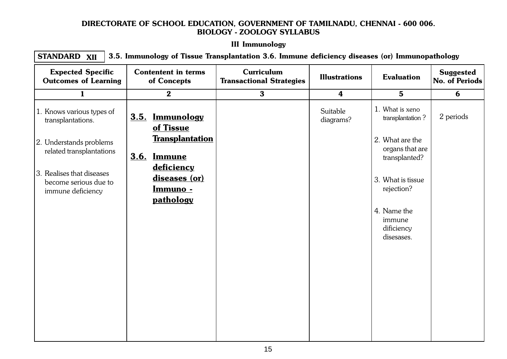# III Immunology

1.1. Cellular Level Organisation of the California Congress of the California Congress of the California Congr<br>1.1. Cellular Level Organisation of the California Congress of the California Congress of the California Congr STANDARD 3.5. Immunology of Tissue Transplantation 3.6. Immune deficiency diseases (or) Immunopathology XII

| <b>Expected Specific</b><br><b>Outcomes of Learning</b>                 | <b>Contentent in terms</b><br>of Concepts |                                                       | <b>Curriculum</b><br><b>Transactional Strategies</b> | <b>Illustrations</b>  | <b>Evaluation</b>                                   | <b>Suggested</b><br><b>No. of Periods</b> |
|-------------------------------------------------------------------------|-------------------------------------------|-------------------------------------------------------|------------------------------------------------------|-----------------------|-----------------------------------------------------|-------------------------------------------|
| $\mathbf{1}$                                                            |                                           | $\mathbf{2}$                                          | $\mathbf{3}$                                         | $\boldsymbol{4}$      | $5\phantom{1}$                                      | 6                                         |
| 1. Knows various types of<br>transplantations.                          | 3.5.                                      | <b>Immunology</b><br>of Tissue                        |                                                      | Suitable<br>diagrams? | 1. What is xeno<br>transplantation?                 | 2 periods                                 |
| 2. Understands problems<br>related transplantations                     | 3.6.                                      | <b>Transplantation</b><br><b>Immune</b><br>deficiency |                                                      |                       | 2. What are the<br>organs that are<br>transplanted? |                                           |
| 3. Realises that diseases<br>become serious due to<br>immune deficiency |                                           | diseases (or)<br>Immuno -<br>pathology                |                                                      |                       | 3. What is tissue<br>rejection?                     |                                           |
|                                                                         |                                           |                                                       |                                                      |                       | 4. Name the<br>immune<br>dificiency<br>disesases.   |                                           |
|                                                                         |                                           |                                                       |                                                      |                       |                                                     |                                           |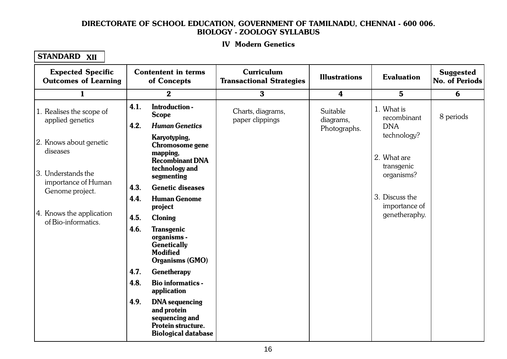### IV Modern Genetics 1. Cellular Level Organisation

| <b>Expected Specific</b><br><b>Outcomes of Learning</b> |      | <b>Contentent in terms</b><br>of Concepts                                                                  | <b>Curriculum</b><br><b>Transactional Strategies</b> | <b>Illustrations</b>    | <b>Evaluation</b>               | <b>Suggested</b><br>No. of Periods |
|---------------------------------------------------------|------|------------------------------------------------------------------------------------------------------------|------------------------------------------------------|-------------------------|---------------------------------|------------------------------------|
| $\mathbf{1}$                                            |      | $\bf{2}$                                                                                                   | $\bf{3}$                                             | $\overline{\mathbf{4}}$ | $5\phantom{.0}$                 | 6                                  |
| 1. Realises the scope of<br>applied genetics            | 4.1. | Introduction -<br><b>Scope</b>                                                                             | Charts, diagrams,<br>paper clippings                 | Suitable<br>diagrams,   | 1. What is<br>recombinant       | 8 periods                          |
|                                                         | 4.2. | <b>Human Genetics</b>                                                                                      |                                                      | Photographs.            | <b>DNA</b>                      |                                    |
| 2. Knows about genetic<br>diseases                      |      | Karyotyping,<br>Chromosome gene<br>mapping,<br><b>Recombinant DNA</b>                                      |                                                      |                         | technology?<br>2. What are      |                                    |
| 3. Understands the<br>importance of Human               |      | technology and<br>segmenting                                                                               |                                                      |                         | transgenic<br>organisms?        |                                    |
| Genome project.                                         | 4.3. | <b>Genetic diseases</b>                                                                                    |                                                      |                         |                                 |                                    |
|                                                         | 4.4. | <b>Human Genome</b><br>project                                                                             |                                                      |                         | 3. Discuss the<br>importance of |                                    |
| 4. Knows the application<br>of Bio-informatics.         | 4.5. | <b>Cloning</b>                                                                                             |                                                      |                         | genetheraphy.                   |                                    |
|                                                         | 4.6. | <b>Transgenic</b><br>organisms -<br><b>Genetically</b><br><b>Modified</b><br><b>Organisms (GMO)</b>        |                                                      |                         |                                 |                                    |
|                                                         | 4.7. | Genetherapy                                                                                                |                                                      |                         |                                 |                                    |
|                                                         | 4.8. | <b>Bio informatics -</b><br>application                                                                    |                                                      |                         |                                 |                                    |
|                                                         | 4.9. | <b>DNA</b> sequencing<br>and protein<br>sequencing and<br>Protein structure.<br><b>Biological database</b> |                                                      |                         |                                 |                                    |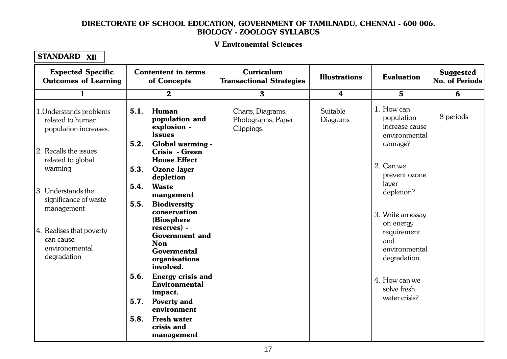### V Environemtal Sciences 1. Cellular Level Organisation Computer Computer Computer Computer Computer Computer Computer Computer Computer Computer Computer Computer Computer Computer Computer Computer Computer Computer Computer Computer Computer Co

| <b>Expected Specific</b><br><b>Outcomes of Learning</b>              | <b>Contentent in terms</b><br>of Concepts                              | Curriculum<br><b>Transactional Strategies</b>         | <b>Illustrations</b> | <b>Evaluation</b>                                           | <b>Suggested</b><br>No. of Periods |
|----------------------------------------------------------------------|------------------------------------------------------------------------|-------------------------------------------------------|----------------------|-------------------------------------------------------------|------------------------------------|
| $\mathbf{1}$                                                         | $\bf{2}$                                                               | $\mathbf{3}$                                          | 4                    | $5\phantom{.0}$                                             | 6                                  |
| 1. Understands problems<br>related to human<br>population increases. | 5.1.<br><b>Human</b><br>population and<br>explosion -<br><b>Issues</b> | Charts, Diagrams,<br>Photographs, Paper<br>Clippings. | Suitable<br>Diagrams | 1. How can<br>population<br>increase cause<br>environmental | 8 periods                          |
| 2. Recalls the issues<br>related to global                           | 5.2.<br>Global warming -<br>Crisis - Green<br><b>House Effect</b>      |                                                       |                      | damage?                                                     |                                    |
| warming                                                              | 5.3.<br><b>Ozone layer</b><br>depletion                                |                                                       |                      | 2. Can we<br>prevent ozone                                  |                                    |
| 3. Understands the<br>significance of waste                          | 5.4.<br><b>Waste</b><br>mangement<br>5.5.                              |                                                       |                      | layer<br>depletion?                                         |                                    |
| management                                                           | <b>Biodiversity</b><br>conservation<br>(Biosphere                      |                                                       |                      | 3. Write an essay<br>on energy                              |                                    |
| 4. Realises that poverty<br>can cause<br>environemental              | reserves) -<br><b>Government and</b><br><b>Non</b>                     |                                                       |                      | requirement<br>and                                          |                                    |
| degradation                                                          | <b>Govermental</b><br>organisations<br>involved.                       |                                                       |                      | environmental<br>degradation.                               |                                    |
|                                                                      | 5.6.<br><b>Energy crisis and</b><br><b>Environmental</b><br>impact.    |                                                       |                      | 4. How can we<br>solve fresh                                |                                    |
|                                                                      | 5.7.<br><b>Poverty and</b><br>environment                              |                                                       |                      | water crisis?                                               |                                    |
|                                                                      | 5.8.<br><b>Fresh water</b><br>crisis and<br>management                 |                                                       |                      |                                                             |                                    |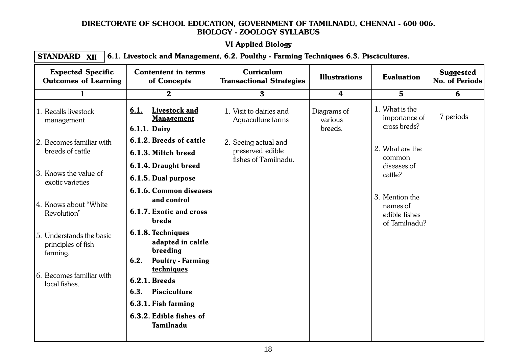# VI Applied Biology

#### $1.1.1$   $P_{\rm F}$  and  $P_{\rm F}$  are  $P_{\rm F}$  and  $P_{\rm F}$ STANDARD XII  $\boldsymbol{\chi_{\text{II}}}\mid$   $6.1.$  Livestock and Management, 6.2. Poulthy - Farming Techniques 6.3. Piscicultures.

| <b>Expected Specific</b><br><b>Outcomes of Learning</b>    | <b>Contentent in terms</b><br>of Concepts                                                                                        | <b>Curriculum</b><br><b>Transactional Strategies</b> | <b>Illustrations</b>              | <b>Evaluation</b>                                            | <b>Suggested</b><br>No. of Periods |
|------------------------------------------------------------|----------------------------------------------------------------------------------------------------------------------------------|------------------------------------------------------|-----------------------------------|--------------------------------------------------------------|------------------------------------|
| $\mathbf{1}$                                               | $\mathbf{2}$                                                                                                                     | $\mathbf{3}$                                         | 4                                 | 5 <sup>5</sup>                                               | 6                                  |
| 1. Recalls livestock<br>management                         | Livestock and<br>6.1.<br><b>Management</b><br>6.1.1. Dairy                                                                       | 1. Visit to dairies and<br>Aquaculture farms         | Diagrams of<br>various<br>breeds. | 1. What is the<br>importance of<br>cross breds?              | 7 periods                          |
| 2. Becomes familiar with                                   | 6.1.2. Breeds of cattle                                                                                                          | 2. Seeing actual and                                 |                                   |                                                              |                                    |
| breeds of cattle                                           | 6.1.3. Miltch breed                                                                                                              | preserved edible<br>fishes of Tamilnadu.             |                                   | 2. What are the<br>common                                    |                                    |
|                                                            | 6.1.4. Draught breed                                                                                                             |                                                      |                                   | diseases of<br>cattle?                                       |                                    |
| 3. Knows the value of<br>exotic varieties                  | 6.1.5. Dual purpose                                                                                                              |                                                      |                                   |                                                              |                                    |
| 4. Knows about "White"<br>Revolution"                      | 6.1.6. Common diseases<br>and control<br>6.1.7. Exotic and cross<br>breds                                                        |                                                      |                                   | 3. Mention the<br>names of<br>edible fishes<br>of Tamilnadu? |                                    |
| 5. Understands the basic<br>principles of fish<br>farming. | 6.1.8. Techniques<br>adapted in caltle<br>breeding<br>6.2.<br><b>Poultry - Farming</b>                                           |                                                      |                                   |                                                              |                                    |
| 6. Becomes familiar with<br>local fishes.                  | techniques<br><b>6.2.1. Breeds</b><br>6.3.<br><b>Pisciculture</b><br>6.3.1. Fish farming<br>6.3.2. Edible fishes of<br>Tamilnadu |                                                      |                                   |                                                              |                                    |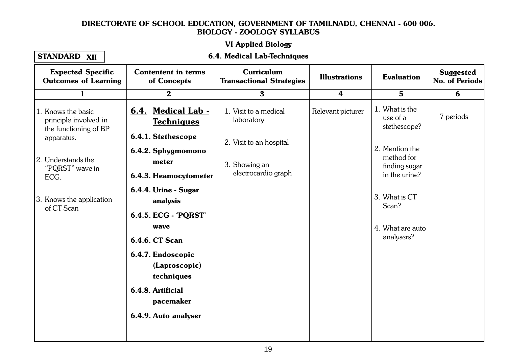# VI Applied Biology

## STANDARD XII

#### 1.1. Cellular Level Organisation Constantine Constantine Constantine Constantine Constantine Constantine Const 6.4. Medical Lab-Techniques

| <b>Expected Specific</b><br><b>Outcomes of Learning</b>                                                                                                                       | <b>Contentent in terms</b><br>of Concepts                                                                                                                                                                                                                              | <b>Curriculum</b><br><b>Transactional Strategies</b>                                                   | <b>Illustrations</b> | <b>Evaluation</b>                                                                                                                                                        | <b>Suggested</b><br>No. of Periods |
|-------------------------------------------------------------------------------------------------------------------------------------------------------------------------------|------------------------------------------------------------------------------------------------------------------------------------------------------------------------------------------------------------------------------------------------------------------------|--------------------------------------------------------------------------------------------------------|----------------------|--------------------------------------------------------------------------------------------------------------------------------------------------------------------------|------------------------------------|
| $\mathbf{1}$                                                                                                                                                                  | $\bf{2}$                                                                                                                                                                                                                                                               | $\mathbf{3}$                                                                                           | $\boldsymbol{4}$     | $5\phantom{.0}$                                                                                                                                                          | 6                                  |
| 1. Knows the basic<br>principle involved in<br>the functioning of BP<br>apparatus.<br>2. Understands the<br>"PQRST" wave in<br>ECG.<br>3. Knows the application<br>of CT Scan | 6.4. Medical Lab -<br><b>Techniques</b><br>6.4.1. Stethescope<br>6.4.2. Sphygmomono<br>meter<br>6.4.3. Heamocytometer<br>6.4.4. Urine - Sugar<br>analysis<br>6.4.5. ECG - 'PQRST'<br>wave<br><b>6.4.6. CT Scan</b><br>6.4.7. Endoscopic<br>(Laproscopic)<br>techniques | 1. Visit to a medical<br>laboratory<br>2. Visit to an hospital<br>3. Showing an<br>electrocardio graph | Relevant picturer    | 1. What is the<br>use of a<br>stethescope?<br>2. Mention the<br>method for<br>finding sugar<br>in the urine?<br>3. What is CT<br>Scan?<br>4. What are auto<br>analysers? | 7 periods                          |
|                                                                                                                                                                               | 6.4.8. Artificial<br>pacemaker                                                                                                                                                                                                                                         |                                                                                                        |                      |                                                                                                                                                                          |                                    |
|                                                                                                                                                                               | 6.4.9. Auto analyser                                                                                                                                                                                                                                                   |                                                                                                        |                      |                                                                                                                                                                          |                                    |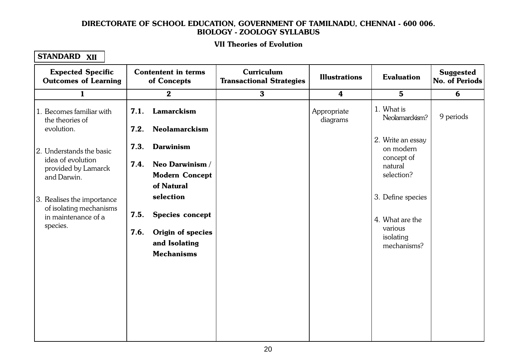### VII Theories of Evolution 1.1. Cellular Level Organisation

| <b>Expected Specific</b><br><b>Outcomes of Learning</b>                                  | <b>Contentent in terms</b><br>of Concepts                                                               | Curriculum<br><b>Transactional Strategies</b> | <b>Illustrations</b>    | <b>Evaluation</b>                                                           | <b>Suggested</b><br>No. of Periods |
|------------------------------------------------------------------------------------------|---------------------------------------------------------------------------------------------------------|-----------------------------------------------|-------------------------|-----------------------------------------------------------------------------|------------------------------------|
| $\mathbf{1}$                                                                             | $\bf{2}$                                                                                                | $\bf{3}$                                      | $\boldsymbol{4}$        | $5\phantom{1}$                                                              | 6                                  |
| 1. Becomes familiar with<br>the theories of<br>evolution.                                | Lamarckism<br>7.1.<br><b>Neolamarckism</b><br>7.2.                                                      |                                               | Appropriate<br>diagrams | 1. What is<br>Neolamarckism?                                                | 9 periods                          |
| 2. Understands the basic<br>idea of evolution<br>provided by Lamarck<br>and Darwin.      | 7.3.<br><b>Darwinism</b><br>Neo Darwinism /<br>7.4.<br><b>Modern Concept</b><br>of Natural              |                                               |                         | 2. Write an essay<br>on modern<br>concept of<br>natural<br>selection?       |                                    |
| 3. Realises the importance<br>of isolating mechanisms<br>in maintenance of a<br>species. | selection<br>Species concept<br>7.5.<br>7.6.<br>Origin of species<br>and Isolating<br><b>Mechanisms</b> |                                               |                         | 3. Define species<br>4. What are the<br>various<br>isolating<br>mechanisms? |                                    |